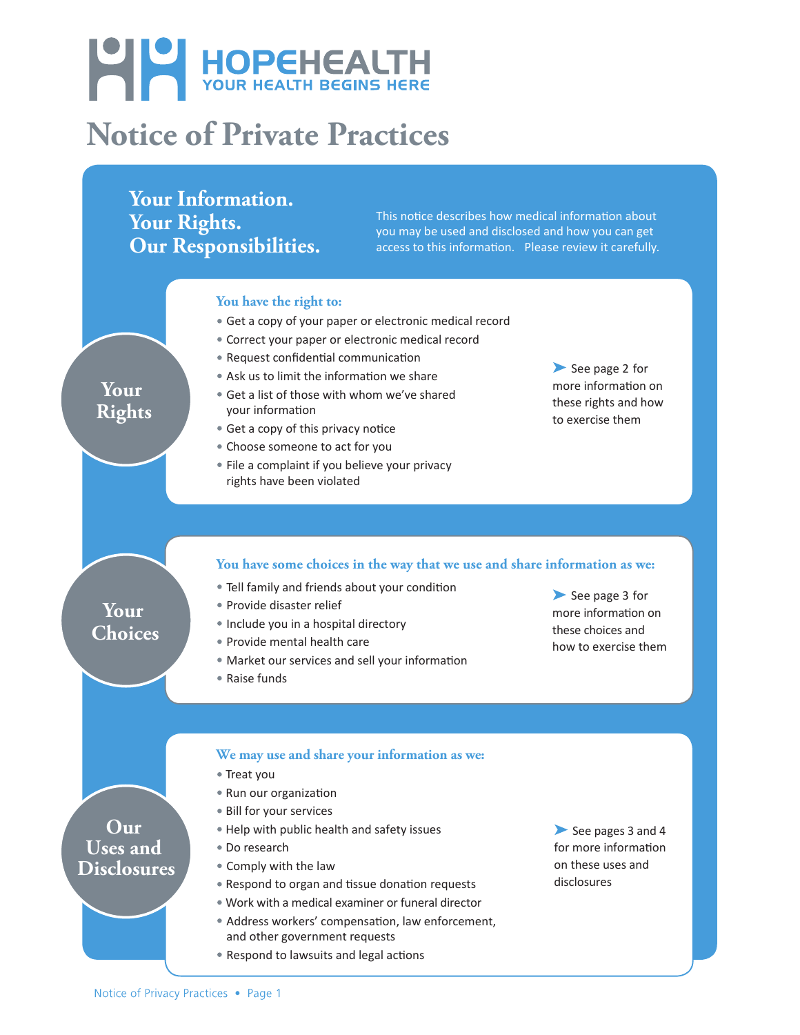## **PERIOD HOPEHEALTH**

## **Notice of Private Practices**

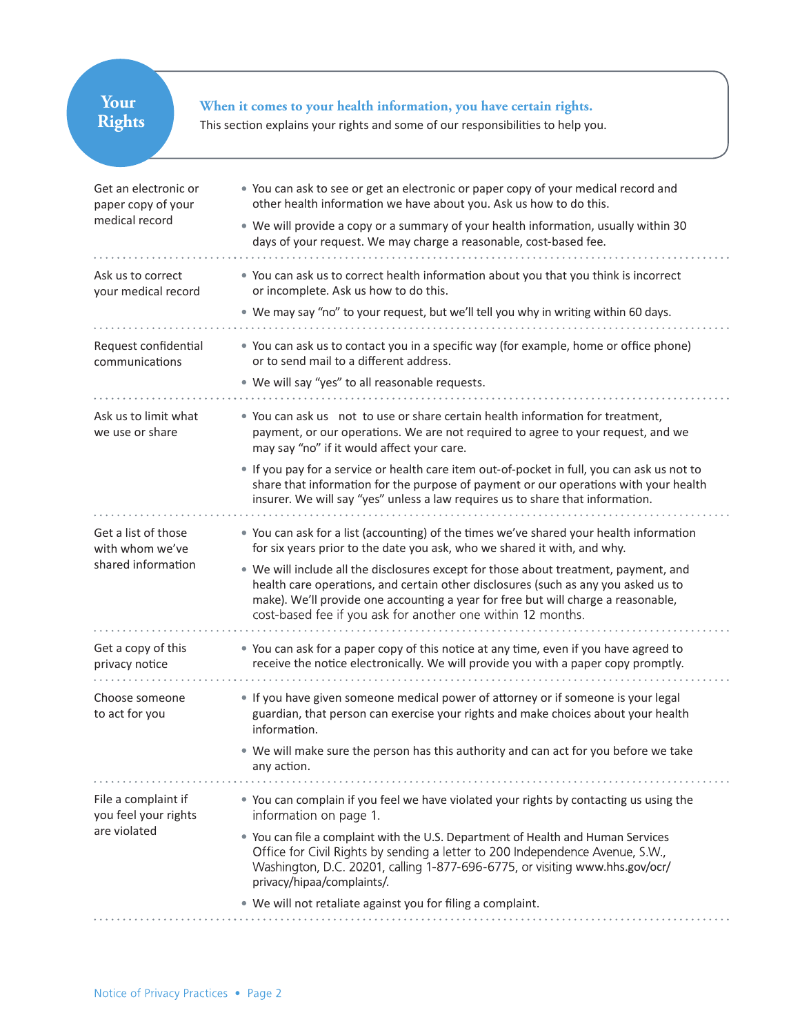| Your<br><b>Rights</b>                                        | When it comes to your health information, you have certain rights.<br>This section explains your rights and some of our responsibilities to help you.                                                                                                                                                                                                                                                                               |
|--------------------------------------------------------------|-------------------------------------------------------------------------------------------------------------------------------------------------------------------------------------------------------------------------------------------------------------------------------------------------------------------------------------------------------------------------------------------------------------------------------------|
| Get an electronic or<br>paper copy of your<br>medical record | • You can ask to see or get an electronic or paper copy of your medical record and<br>other health information we have about you. Ask us how to do this.<br>• We will provide a copy or a summary of your health information, usually within 30<br>days of your request. We may charge a reasonable, cost-based fee.                                                                                                                |
| Ask us to correct<br>your medical record                     | • You can ask us to correct health information about you that you think is incorrect<br>or incomplete. Ask us how to do this.<br>. We may say "no" to your request, but we'll tell you why in writing within 60 days.                                                                                                                                                                                                               |
| Request confidential<br>communications                       | • You can ask us to contact you in a specific way (for example, home or office phone)<br>or to send mail to a different address.<br>. We will say "yes" to all reasonable requests.                                                                                                                                                                                                                                                 |
| Ask us to limit what<br>we use or share                      | . You can ask us not to use or share certain health information for treatment,<br>payment, or our operations. We are not required to agree to your request, and we<br>may say "no" if it would affect your care.<br>If you pay for a service or health care item out-of-pocket in full, you can ask us not to<br>share that information for the purpose of payment or our operations with your health                               |
| Get a list of those<br>with whom we've<br>shared information | insurer. We will say "yes" unless a law requires us to share that information.<br>• You can ask for a list (accounting) of the times we've shared your health information<br>for six years prior to the date you ask, who we shared it with, and why.<br>. We will include all the disclosures except for those about treatment, payment, and<br>health care operations, and certain other disclosures (such as any you asked us to |
| Get a copy of this                                           | make). We'll provide one accounting a year for free but will charge a reasonable,<br>cost-based fee if you ask for another one within 12 months.<br>• You can ask for a paper copy of this notice at any time, even if you have agreed to                                                                                                                                                                                           |
| privacy notice<br>Choose someone<br>to act for you           | receive the notice electronically. We will provide you with a paper copy promptly.<br>• If you have given someone medical power of attorney or if someone is your legal<br>guardian, that person can exercise your rights and make choices about your health<br>information.                                                                                                                                                        |
|                                                              | . We will make sure the person has this authority and can act for you before we take<br>any action.                                                                                                                                                                                                                                                                                                                                 |
| File a complaint if<br>you feel your rights<br>are violated  | • You can complain if you feel we have violated your rights by contacting us using the<br>information on page 1.<br>• You can file a complaint with the U.S. Department of Health and Human Services<br>Office for Civil Rights by sending a letter to 200 Independence Avenue, S.W.,<br>Washington, D.C. 20201, calling 1-877-696-6775, or visiting www.hhs.gov/ocr/<br>privacy/hipaa/complaints/.                                 |
|                                                              | • We will not retaliate against you for filing a complaint.                                                                                                                                                                                                                                                                                                                                                                         |

**CONTRACTOR**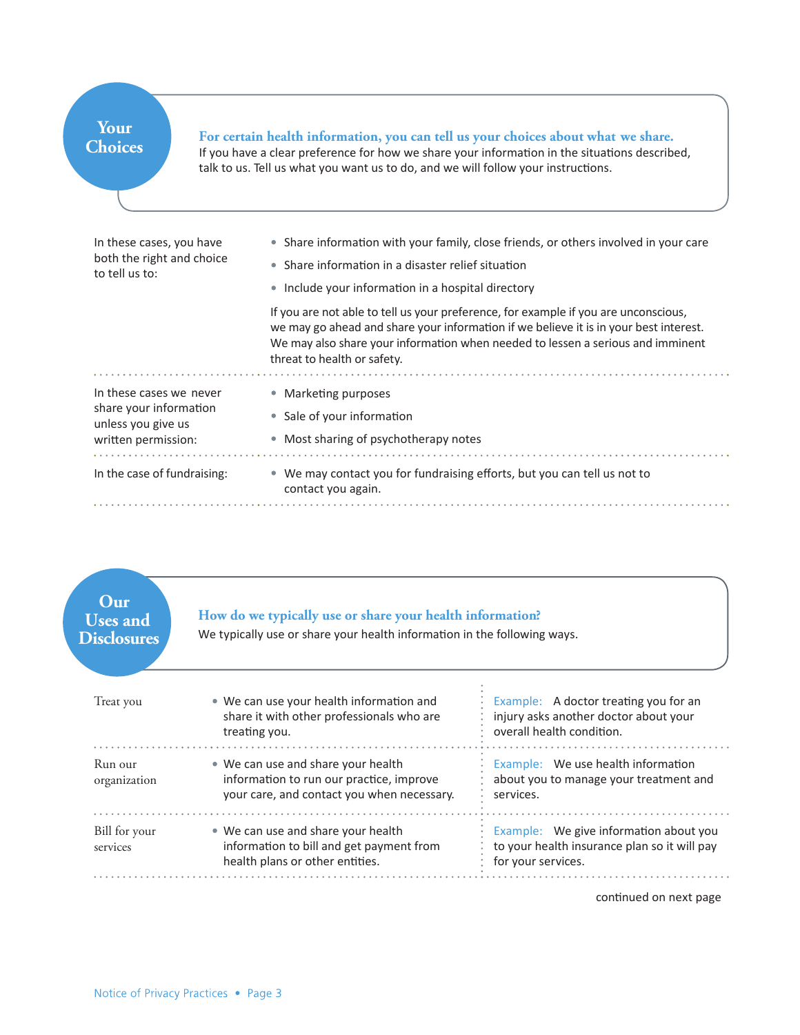| Your<br><b>Choices</b>                                                                         | For certain health information, you can tell us your choices about what we share.<br>If you have a clear preference for how we share your information in the situations described,<br>talk to us. Tell us what you want us to do, and we will follow your instructions.                        |
|------------------------------------------------------------------------------------------------|------------------------------------------------------------------------------------------------------------------------------------------------------------------------------------------------------------------------------------------------------------------------------------------------|
| In these cases, you have<br>both the right and choice<br>to tell us to:                        | • Share information with your family, close friends, or others involved in your care<br>• Share information in a disaster relief situation<br>Include your information in a hospital directory                                                                                                 |
|                                                                                                | If you are not able to tell us your preference, for example if you are unconscious,<br>we may go ahead and share your information if we believe it is in your best interest.<br>We may also share your information when needed to lessen a serious and imminent<br>threat to health or safety. |
| In these cases we never<br>share your information<br>unless you give us<br>written permission: | Marketing purposes<br>$\bullet$<br>Sale of your information<br>• Most sharing of psychotherapy notes                                                                                                                                                                                           |
| In the case of fundraising:                                                                    | We may contact you for fundraising efforts, but you can tell us not to<br>contact you again.                                                                                                                                                                                                   |

| Our<br><b>Uses and</b><br><b>Disclosures</b> | How do we typically use or share your health information?<br>We typically use or share your health information in the following ways. |                                                                                                              |
|----------------------------------------------|---------------------------------------------------------------------------------------------------------------------------------------|--------------------------------------------------------------------------------------------------------------|
| Treat you                                    | • We can use your health information and<br>share it with other professionals who are<br>treating you.                                | Example: A doctor treating you for an<br>injury asks another doctor about your<br>overall health condition.  |
| Run our<br>organization                      | • We can use and share your health<br>information to run our practice, improve<br>your care, and contact you when necessary.          | Example: We use health information<br>about you to manage your treatment and<br>services.                    |
| Bill for your<br>services                    | • We can use and share your health<br>information to bill and get payment from<br>health plans or other entities.                     | Example: We give information about you<br>to your health insurance plan so it will pay<br>for your services. |

continued on next page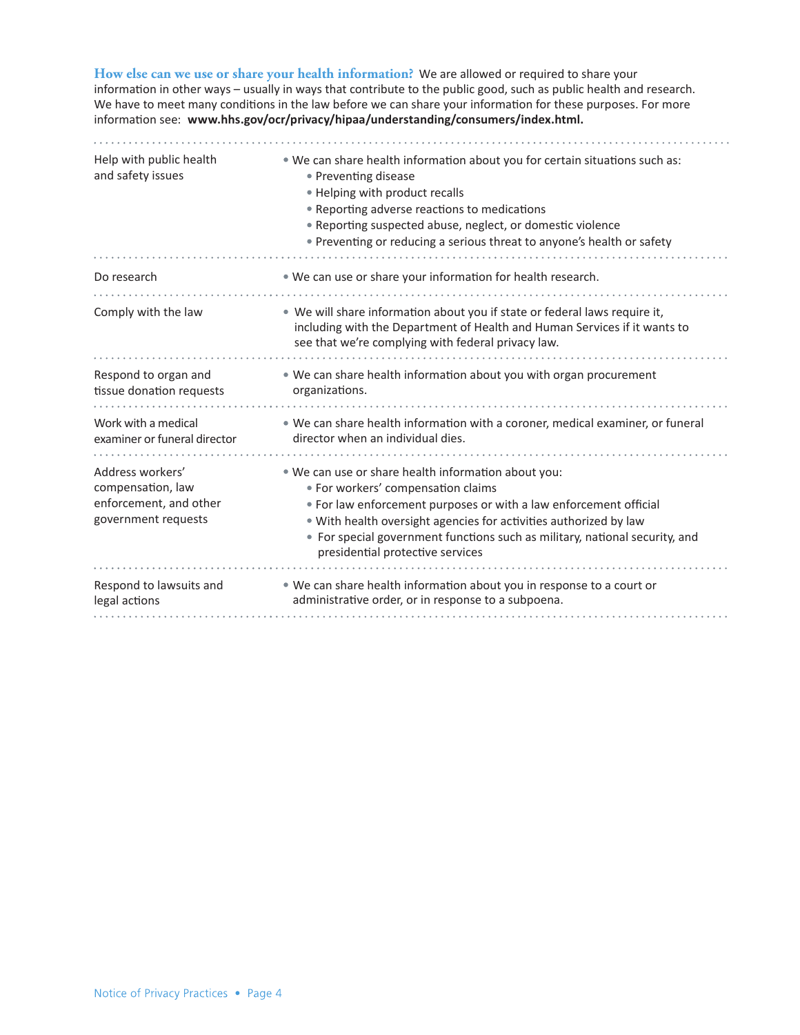**How else can we use or share your health information?** We are allowed or required to share your information in other ways – usually in ways that contribute to the public good, such as public health and research. We have to meet many conditions in the law before we can share your information for these purposes. For more information see: **www.hhs.gov/ocr/privacy/hipaa/understanding/consumers/index.html.**

| Help with public health<br>and safety issues                                           | . We can share health information about you for certain situations such as:<br>• Preventing disease<br>• Helping with product recalls<br>• Reporting adverse reactions to medications                                                                                                                                                                  |
|----------------------------------------------------------------------------------------|--------------------------------------------------------------------------------------------------------------------------------------------------------------------------------------------------------------------------------------------------------------------------------------------------------------------------------------------------------|
|                                                                                        | • Reporting suspected abuse, neglect, or domestic violence<br>• Preventing or reducing a serious threat to anyone's health or safety                                                                                                                                                                                                                   |
| Do research                                                                            | . We can use or share your information for health research.                                                                                                                                                                                                                                                                                            |
| Comply with the law                                                                    | . We will share information about you if state or federal laws require it,<br>including with the Department of Health and Human Services if it wants to<br>see that we're complying with federal privacy law.                                                                                                                                          |
| Respond to organ and<br>tissue donation requests                                       | . We can share health information about you with organ procurement<br>organizations.                                                                                                                                                                                                                                                                   |
| Work with a medical<br>examiner or funeral director                                    | . We can share health information with a coroner, medical examiner, or funeral<br>director when an individual dies.                                                                                                                                                                                                                                    |
| Address workers'<br>compensation, law<br>enforcement, and other<br>government requests | . We can use or share health information about you:<br>· For workers' compensation claims<br>• For law enforcement purposes or with a law enforcement official<br>. With health oversight agencies for activities authorized by law<br>• For special government functions such as military, national security, and<br>presidential protective services |
| Respond to lawsuits and<br>legal actions                                               | . We can share health information about you in response to a court or<br>administrative order, or in response to a subpoena.                                                                                                                                                                                                                           |